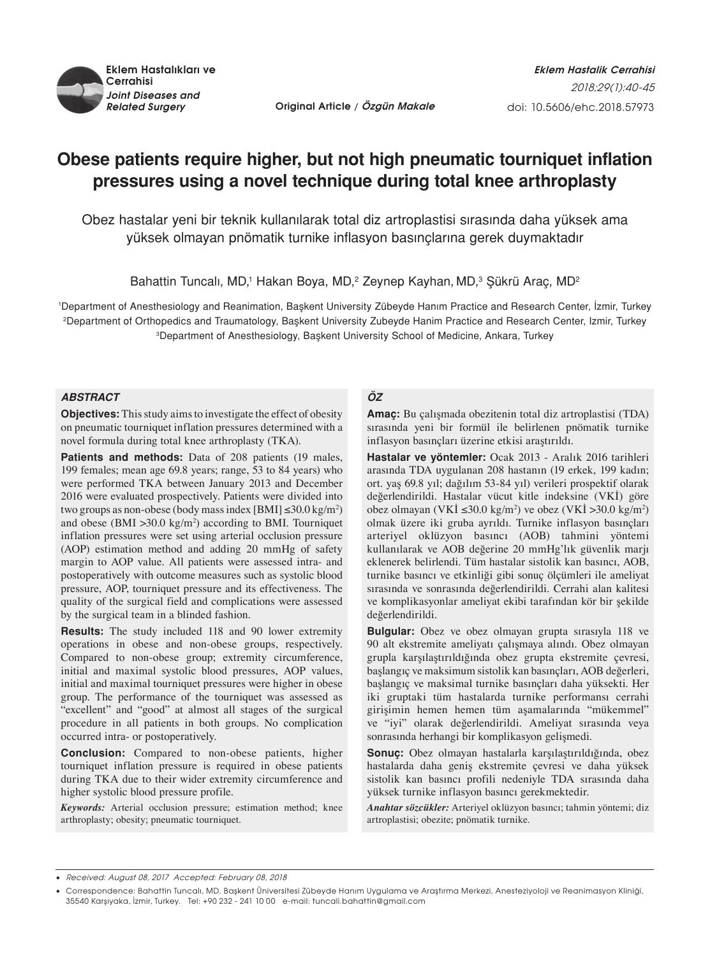

*Related Surgery* **Original Article / Özgün Makale**

# **Obese patients require higher, but not high pneumatic tourniquet inflation pressures using a novel technique during total knee arthroplasty**

Obez hastalar yeni bir teknik kullanılarak total diz artroplastisi sırasında daha yüksek ama yüksek olmayan pnömatik turnike inflasyon basınçlarına gerek duymaktadır

Bahattin Tuncalı, MD,<sup>1</sup> Hakan Boya, MD,<sup>2</sup> Zeynep Kayhan, MD,<sup>3</sup> Şükrü Araç, MD<sup>2</sup>

1 Department of Anesthesiology and Reanimation, Başkent University Zübeyde Hanım Practice and Research Center, İzmir, Turkey 2 Department of Orthopedics and Traumatology, Başkent University Zubeyde Hanim Practice and Research Center, Izmir, Turkey 3 Department of Anesthesiology, Başkent University School of Medicine, Ankara, Turkey

## *ABSTRACT*

**Objectives:** This study aims to investigate the effect of obesity on pneumatic tourniquet inflation pressures determined with a novel formula during total knee arthroplasty (TKA).

Patients and methods: Data of 208 patients (19 males, 199 females; mean age 69.8 years; range, 53 to 84 years) who were performed TKA between January 2013 and December 2016 were evaluated prospectively. Patients were divided into two groups as non-obese (body mass index [BMI]  $\leq 30.0 \text{ kg/m}^2$ ) and obese (BMI  $>30.0 \text{ kg/m}^2$ ) according to BMI. Tourniquet inflation pressures were set using arterial occlusion pressure (AOP) estimation method and adding 20 mmHg of safety margin to AOP value. All patients were assessed intra- and postoperatively with outcome measures such as systolic blood pressure, AOP, tourniquet pressure and its effectiveness. The quality of the surgical field and complications were assessed by the surgical team in a blinded fashion.

**Results:** The study included 118 and 90 lower extremity operations in obese and non-obese groups, respectively. Compared to non-obese group; extremity circumference, initial and maximal systolic blood pressures, AOP values, initial and maximal tourniquet pressures were higher in obese group. The performance of the tourniquet was assessed as "excellent" and "good" at almost all stages of the surgical procedure in all patients in both groups. No complication occurred intra- or postoperatively.

**Conclusion:** Compared to non-obese patients, higher tourniquet inflation pressure is required in obese patients during TKA due to their wider extremity circumference and higher systolic blood pressure profile.

*Keywords:* Arterial occlusion pressure; estimation method; knee arthroplasty; obesity; pneumatic tourniquet.

## *ÖZ*

**Amaç:** Bu çalışmada obezitenin total diz artroplastisi (TDA) sırasında yeni bir formül ile belirlenen pnömatik turnike inflasyon basınçları üzerine etkisi araştırıldı.

**Hastalar ve yöntemler:** Ocak 2013 - Aralık 2016 tarihleri arasında TDA uygulanan 208 hastanın (19 erkek, 199 kadın; ort. yaş 69.8 yıl; dağılım 53-84 yıl) verileri prospektif olarak değerlendirildi. Hastalar vücut kitle indeksine (VKİ) göre obez olmayan (VKİ ≤30.0 kg/m<sup>2</sup>) ve obez (VKİ >30.0 kg/m<sup>2</sup>) olmak üzere iki gruba ayrıldı. Turnike inflasyon basınçları arteriyel oklüzyon basıncı (AOB) tahmini yöntemi kullanılarak ve AOB değerine 20 mmHg'lık güvenlik marjı eklenerek belirlendi. Tüm hastalar sistolik kan basıncı, AOB, turnike basıncı ve etkinliği gibi sonuç ölçümleri ile ameliyat sırasında ve sonrasında değerlendirildi. Cerrahi alan kalitesi ve komplikasyonlar ameliyat ekibi tarafından kör bir şekilde değerlendirildi.

**Bulgular:** Obez ve obez olmayan grupta sırasıyla 118 ve 90 alt ekstremite ameliyatı çalışmaya alındı. Obez olmayan grupla karşılaştırıldığında obez grupta ekstremite çevresi, başlangıç ve maksimum sistolik kan basınçları, AOB değerleri, başlangıç ve maksimal turnike basınçları daha yüksekti. Her iki gruptaki tüm hastalarda turnike performansı cerrahi girişimin hemen hemen tüm aşamalarında "mükemmel" ve "iyi" olarak değerlendirildi. Ameliyat sırasında veya sonrasında herhangi bir komplikasyon gelişmedi.

**Sonuç:** Obez olmayan hastalarla karşılaştırıldığında, obez hastalarda daha geniş ekstremite çevresi ve daha yüksek sistolik kan basıncı profili nedeniyle TDA sırasında daha yüksek turnike inflasyon basıncı gerekmektedir.

*Anahtar sözcükler:* Arteriyel oklüzyon basıncı; tahmin yöntemi; diz artroplastisi; obezite; pnömatik turnike.

Received: August 08, 2017 Accepted: February 08, 2018

<sup>•</sup> Correspondence: Bahattin Tuncalı, MD. Başkent Üniversitesi Zübeyde Hanım Uygulama ve Araştırma Merkezi, Anesteziyoloji ve Reanimasyon Kliniği, 35540 Karşıyaka, İzmir, Turkey. Tel: +90 232 - 241 10 00 e-mail: tuncali.bahattin@gmail.com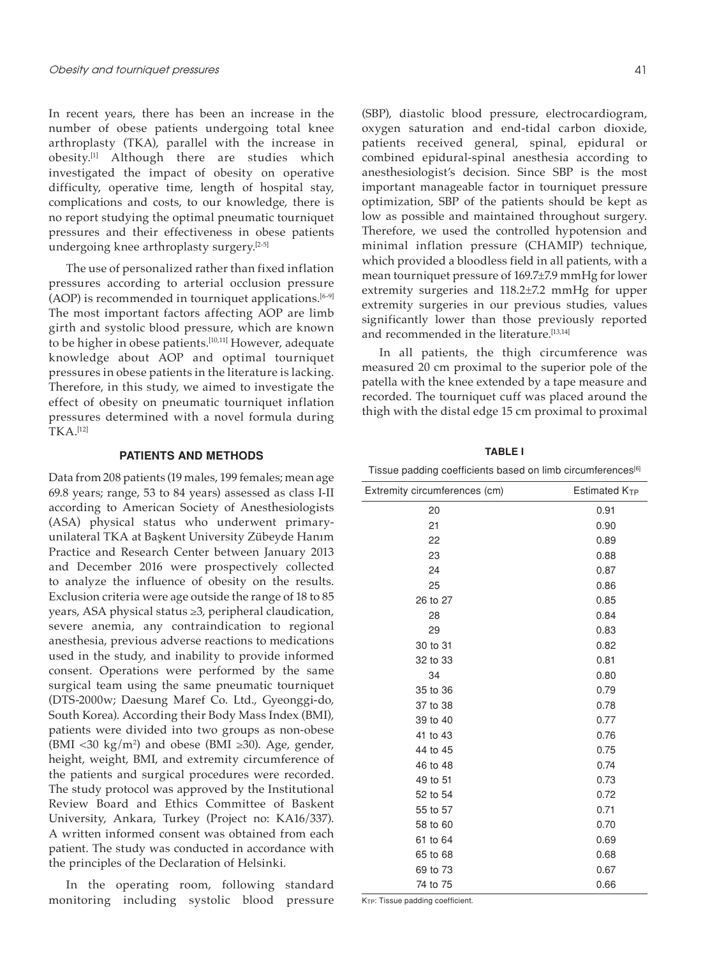In recent years, there has been an increase in the number of obese patients undergoing total knee arthroplasty (TKA), parallel with the increase in obesity.[1] Although there are studies which investigated the impact of obesity on operative difficulty, operative time, length of hospital stay, complications and costs, to our knowledge, there is no report studying the optimal pneumatic tourniquet pressures and their effectiveness in obese patients undergoing knee arthroplasty surgery.[2-5]

The use of personalized rather than fixed inflation pressures according to arterial occlusion pressure  $(AOP)$  is recommended in tourniquet applications.<sup>[6-9]</sup> The most important factors affecting AOP are limb girth and systolic blood pressure, which are known to be higher in obese patients.[10,11] However, adequate knowledge about AOP and optimal tourniquet pressures in obese patients in the literature is lacking. Therefore, in this study, we aimed to investigate the effect of obesity on pneumatic tourniquet inflation pressures determined with a novel formula during TKA.[12]

#### **PATIENTS AND METHODS**

Data from 208 patients (19 males, 199 females; mean age 69.8 years; range, 53 to 84 years) assessed as class I-II according to American Society of Anesthesiologists (ASA) physical status who underwent primaryunilateral TKA at Başkent University Zübeyde Hanım Practice and Research Center between January 2013 and December 2016 were prospectively collected to analyze the influence of obesity on the results. Exclusion criteria were age outside the range of 18 to 85 years, ASA physical status ≥3, peripheral claudication, severe anemia, any contraindication to regional anesthesia, previous adverse reactions to medications used in the study, and inability to provide informed consent. Operations were performed by the same surgical team using the same pneumatic tourniquet (DTS-2000w; Daesung Maref Co. Ltd., Gyeonggi-do, South Korea). According their Body Mass Index (BMI), patients were divided into two groups as non-obese  $(BMI < 30 \text{ kg/m}^2)$  and obese (BMI  $\geq 30$ ). Age, gender, height, weight, BMI, and extremity circumference of the patients and surgical procedures were recorded. The study protocol was approved by the Institutional Review Board and Ethics Committee of Baskent University, Ankara, Turkey (Project no: KA16/337). A written informed consent was obtained from each patient. The study was conducted in accordance with the principles of the Declaration of Helsinki.

In the operating room, following standard monitoring including systolic blood pressure (SBP), diastolic blood pressure, electrocardiogram, oxygen saturation and end-tidal carbon dioxide, patients received general, spinal, epidural or combined epidural-spinal anesthesia according to anesthesiologist's decision. Since SBP is the most important manageable factor in tourniquet pressure optimization, SBP of the patients should be kept as low as possible and maintained throughout surgery. Therefore, we used the controlled hypotension and minimal inflation pressure (CHAMIP) technique, which provided a bloodless field in all patients, with a mean tourniquet pressure of 169.7±7.9 mmHg for lower extremity surgeries and 118.2±7.2 mmHg for upper extremity surgeries in our previous studies, values significantly lower than those previously reported and recommended in the literature.<sup>[13,14]</sup>

In all patients, the thigh circumference was measured 20 cm proximal to the superior pole of the patella with the knee extended by a tape measure and recorded. The tourniquet cuff was placed around the thigh with the distal edge 15 cm proximal to proximal

**Table I**

Tissue padding coefficients based on limb circumferences<sup>[6]</sup>

| Extremity circumferences (cm) | Estimated $K_{TP}$ |
|-------------------------------|--------------------|
| 20                            | 0.91               |
| 21                            | 0.90               |
| 22                            | 0.89               |
| 23                            | 0.88               |
| 24                            | 0.87               |
| 25                            | 0.86               |
| 26 to 27                      | 0.85               |
| 28                            | 0.84               |
| 29                            | 0.83               |
| 30 to 31                      | 0.82               |
| 32 to 33                      | 0.81               |
| 34                            | 0.80               |
| 35 to 36                      | 0.79               |
| 37 to 38                      | 0.78               |
| 39 to 40                      | 0.77               |
| 41 to 43                      | 0.76               |
| 44 to 45                      | 0.75               |
| 46 to 48                      | 0.74               |
| 49 to 51                      | 0.73               |
| 52 to 54                      | 0.72               |
| 55 to 57                      | 0.71               |
| 58 to 60                      | 0.70               |
| 61 to 64                      | 0.69               |
| 65 to 68                      | 0.68               |
| 69 to 73                      | 0.67               |
| 74 to 75                      | 0.66               |
|                               |                    |

KTP: Tissue padding coefficient.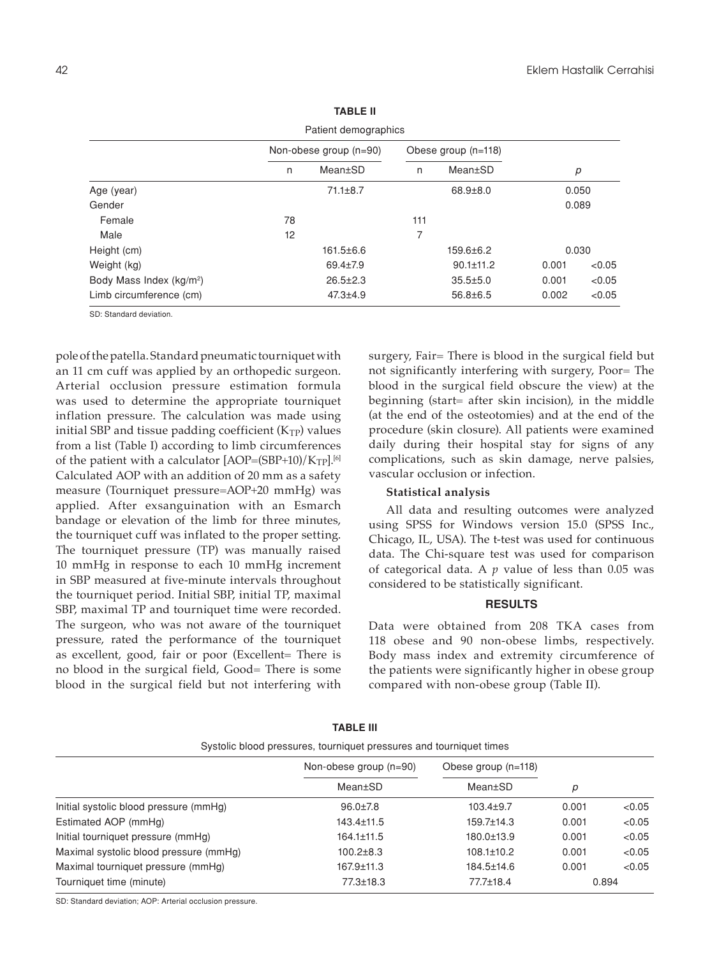| Patient demographics                 |                        |                 |                     |                 |       |        |  |  |  |
|--------------------------------------|------------------------|-----------------|---------------------|-----------------|-------|--------|--|--|--|
|                                      | Non-obese group (n=90) |                 | Obese group (n=118) |                 |       |        |  |  |  |
|                                      | n                      | Mean±SD         | n                   | Mean±SD         | р     |        |  |  |  |
| Age (year)                           |                        | $71.1 \pm 8.7$  |                     | $68.9 \pm 8.0$  | 0.050 |        |  |  |  |
| Gender                               |                        |                 |                     |                 | 0.089 |        |  |  |  |
| Female                               | 78                     |                 | 111                 |                 |       |        |  |  |  |
| Male                                 | 12                     |                 | 7                   |                 |       |        |  |  |  |
| Height (cm)                          |                        | $161.5 \pm 6.6$ |                     | $159.6 \pm 6.2$ | 0.030 |        |  |  |  |
| Weight (kg)                          |                        | $69.4 \pm 7.9$  |                     | $90.1 \pm 11.2$ | 0.001 | < 0.05 |  |  |  |
| Body Mass Index (kg/m <sup>2</sup> ) |                        | $26.5 \pm 2.3$  |                     | $35.5 \pm 5.0$  | 0.001 | < 0.05 |  |  |  |
| Limb circumference (cm)              |                        | $47.3 + 4.9$    |                     | $56.8 \pm 6.5$  | 0.002 | < 0.05 |  |  |  |

**Table II**

SD: Standard deviation.

pole of the patella. Standard pneumatic tourniquet with an 11 cm cuff was applied by an orthopedic surgeon. Arterial occlusion pressure estimation formula was used to determine the appropriate tourniquet inflation pressure. The calculation was made using initial SBP and tissue padding coefficient  $(K_{TP})$  values from a list (Table I) according to limb circumferences of the patient with a calculator  $[AOP=(SBP+10)/K_{TP}]$ .<sup>[6]</sup> Calculated AOP with an addition of 20 mm as a safety measure (Tourniquet pressure=AOP+20 mmHg) was applied. After exsanguination with an Esmarch bandage or elevation of the limb for three minutes, the tourniquet cuff was inflated to the proper setting. The tourniquet pressure (TP) was manually raised 10 mmHg in response to each 10 mmHg increment in SBP measured at five-minute intervals throughout the tourniquet period. Initial SBP, initial TP, maximal SBP, maximal TP and tourniquet time were recorded. The surgeon, who was not aware of the tourniquet pressure, rated the performance of the tourniquet as excellent, good, fair or poor (Excellent= There is no blood in the surgical field, Good= There is some blood in the surgical field but not interfering with

surgery, Fair= There is blood in the surgical field but not significantly interfering with surgery, Poor= The blood in the surgical field obscure the view) at the beginning (start= after skin incision), in the middle (at the end of the osteotomies) and at the end of the procedure (skin closure). All patients were examined daily during their hospital stay for signs of any complications, such as skin damage, nerve palsies, vascular occlusion or infection.

## **Statistical analysis**

All data and resulting outcomes were analyzed using SPSS for Windows version 15.0 (SPSS Inc., Chicago, IL, USA). The t-test was used for continuous data. The Chi-square test was used for comparison of categorical data. A *p* value of less than 0.05 was considered to be statistically significant.

## **RESULTS**

Data were obtained from 208 TKA cases from 118 obese and 90 non-obese limbs, respectively. Body mass index and extremity circumference of the patients were significantly higher in obese group compared with non-obese group (Table II).

| Systolic blood pressures, tourniquet pressures and tourniquet times |                        |                     |       |        |  |  |  |
|---------------------------------------------------------------------|------------------------|---------------------|-------|--------|--|--|--|
|                                                                     | Non-obese group (n=90) | Obese group (n=118) |       |        |  |  |  |
|                                                                     | Mean±SD                | Mean±SD             | р     |        |  |  |  |
| Initial systolic blood pressure (mmHq)                              | $96.0 \pm 7.8$         | $103.4 \pm 9.7$     | 0.001 | < 0.05 |  |  |  |
| Estimated AOP (mmHg)                                                | 143.4±11.5             | $159.7 \pm 14.3$    | 0.001 | < 0.05 |  |  |  |
| Initial tourniquet pressure (mmHg)                                  | 164.1±11.5             | 180.0±13.9          | 0.001 | < 0.05 |  |  |  |
| Maximal systolic blood pressure (mmHq)                              | $100.2 \pm 8.3$        | $108.1 \pm 10.2$    | 0.001 | < 0.05 |  |  |  |
| Maximal tourniquet pressure (mmHg)                                  | 167.9±11.3             | 184.5±14.6          | 0.001 | < 0.05 |  |  |  |
| Tourniquet time (minute)                                            | $77.3 \pm 18.3$        | 77.7±18.4           |       | 0.894  |  |  |  |

**TABLE III** 

SD: Standard deviation; AOP: Arterial occlusion pressure.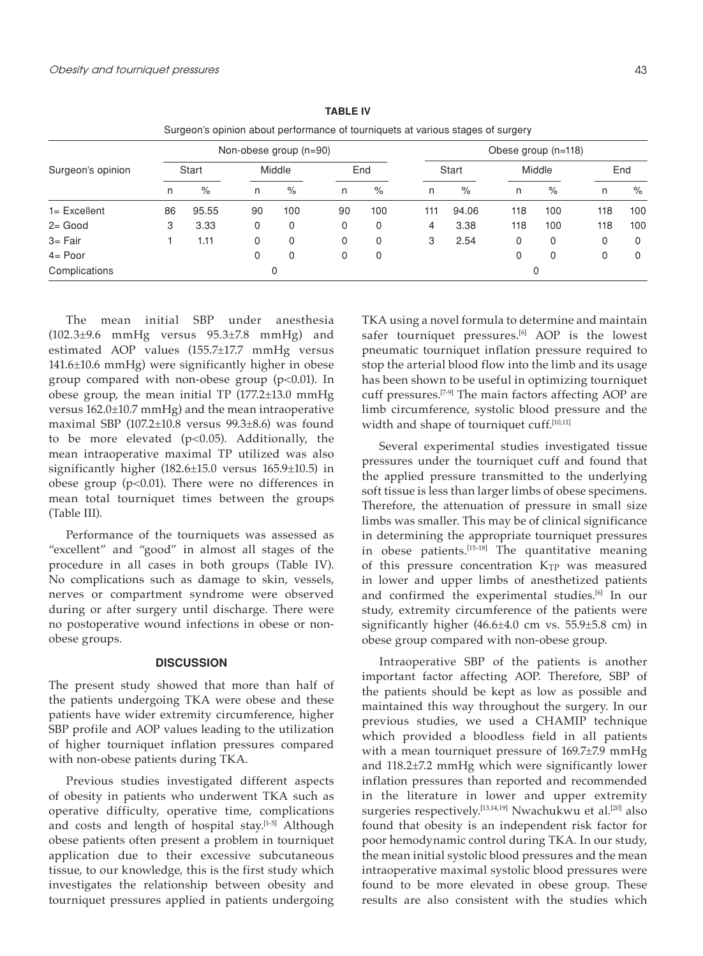|                   |                        | Surgeon's opinion about performance of tourniquets at various stages of surgery |        |      |     |     |                     |       |        |      |     |     |
|-------------------|------------------------|---------------------------------------------------------------------------------|--------|------|-----|-----|---------------------|-------|--------|------|-----|-----|
|                   | Non-obese group (n=90) |                                                                                 |        |      |     |     | Obese group (n=118) |       |        |      |     |     |
| Surgeon's opinion | Start                  |                                                                                 | Middle |      | End |     | Start               |       | Middle |      | End |     |
|                   | n                      | $\%$                                                                            | n      | $\%$ | n   | %   | n                   | $\%$  | n      | $\%$ | n   | %   |
| $1 =$ Excellent   | 86                     | 95.55                                                                           | 90     | 100  | 90  | 100 | 111                 | 94.06 | 118    | 100  | 118 | 100 |
| $2 = Good$        | 3                      | 3.33                                                                            | 0      | 0    | 0   | 0   | 4                   | 3.38  | 118    | 100  | 118 | 100 |
| $3 = Fair$        |                        | 1.11                                                                            | 0      | 0    | 0   | 0   | 3                   | 2.54  | 0      | 0    | 0   | 0   |
| $4 =$ Poor        |                        |                                                                                 | 0      | 0    | 0   | 0   |                     |       | 0      | 0    | 0   | 0   |
| Complications     | 0                      |                                                                                 |        |      |     | 0   |                     |       |        |      |     |     |

**Table IV**

The mean initial SBP under anesthesia (102.3±9.6 mmHg versus 95.3±7.8 mmHg) and estimated AOP values (155.7±17.7 mmHg versus 141.6±10.6 mmHg) were significantly higher in obese group compared with non-obese group  $(p<0.01)$ . In obese group, the mean initial TP (177.2±13.0 mmHg versus 162.0±10.7 mmHg) and the mean intraoperative maximal SBP (107.2±10.8 versus 99.3±8.6) was found to be more elevated ( $p<0.05$ ). Additionally, the mean intraoperative maximal TP utilized was also significantly higher (182.6±15.0 versus 165.9±10.5) in obese group ( $p$ <0.01). There were no differences in mean total tourniquet times between the groups (Table III).

Performance of the tourniquets was assessed as "excellent" and "good" in almost all stages of the procedure in all cases in both groups (Table IV). No complications such as damage to skin, vessels, nerves or compartment syndrome were observed during or after surgery until discharge. There were no postoperative wound infections in obese or nonobese groups.

### **DISCUSSION**

The present study showed that more than half of the patients undergoing TKA were obese and these patients have wider extremity circumference, higher SBP profile and AOP values leading to the utilization of higher tourniquet inflation pressures compared with non-obese patients during TKA.

Previous studies investigated different aspects of obesity in patients who underwent TKA such as operative difficulty, operative time, complications and costs and length of hospital stay.[1-5] Although obese patients often present a problem in tourniquet application due to their excessive subcutaneous tissue, to our knowledge, this is the first study which investigates the relationship between obesity and tourniquet pressures applied in patients undergoing TKA using a novel formula to determine and maintain safer tourniquet pressures.<sup>[6]</sup> AOP is the lowest pneumatic tourniquet inflation pressure required to stop the arterial blood flow into the limb and its usage has been shown to be useful in optimizing tourniquet cuff pressures.[7-9] The main factors affecting AOP are limb circumference, systolic blood pressure and the width and shape of tourniquet cuff.<sup>[10,11]</sup>

Several experimental studies investigated tissue pressures under the tourniquet cuff and found that the applied pressure transmitted to the underlying soft tissue is less than larger limbs of obese specimens. Therefore, the attenuation of pressure in small size limbs was smaller. This may be of clinical significance in determining the appropriate tourniquet pressures in obese patients.[15-18] The quantitative meaning of this pressure concentration K<sub>TP</sub> was measured in lower and upper limbs of anesthetized patients and confirmed the experimental studies.<sup>[6]</sup> In our study, extremity circumference of the patients were significantly higher (46.6±4.0 cm vs. 55.9±5.8 cm) in obese group compared with non-obese group.

Intraoperative SBP of the patients is another important factor affecting AOP. Therefore, SBP of the patients should be kept as low as possible and maintained this way throughout the surgery. In our previous studies, we used a CHAMIP technique which provided a bloodless field in all patients with a mean tourniquet pressure of 169.7±7.9 mmHg and 118.2±7.2 mmHg which were significantly lower inflation pressures than reported and recommended in the literature in lower and upper extremity surgeries respectively.<sup>[13,14,19]</sup> Nwachukwu et al.<sup>[20]</sup> also found that obesity is an independent risk factor for poor hemodynamic control during TKA. In our study, the mean initial systolic blood pressures and the mean intraoperative maximal systolic blood pressures were found to be more elevated in obese group. These results are also consistent with the studies which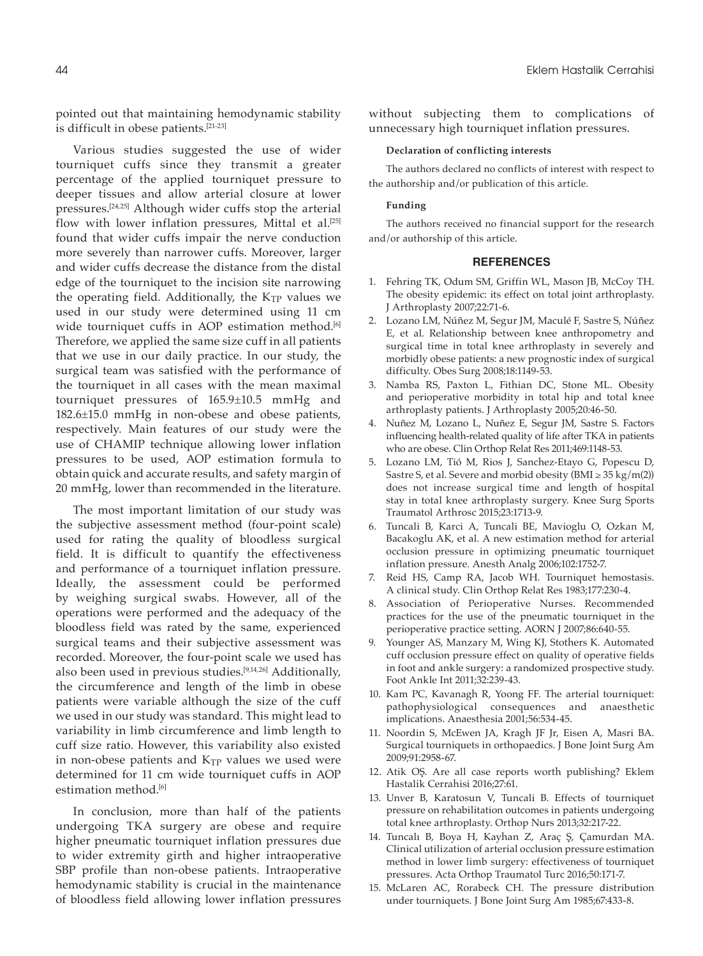pointed out that maintaining hemodynamic stability is difficult in obese patients.[21-23]

Various studies suggested the use of wider tourniquet cuffs since they transmit a greater percentage of the applied tourniquet pressure to deeper tissues and allow arterial closure at lower pressures.[24,25] Although wider cuffs stop the arterial flow with lower inflation pressures, Mittal et al.<sup>[25]</sup> found that wider cuffs impair the nerve conduction more severely than narrower cuffs. Moreover, larger and wider cuffs decrease the distance from the distal edge of the tourniquet to the incision site narrowing the operating field. Additionally, the KTP values we used in our study were determined using 11 cm wide tourniquet cuffs in AOP estimation method.<sup>[6]</sup> Therefore, we applied the same size cuff in all patients that we use in our daily practice. In our study, the surgical team was satisfied with the performance of the tourniquet in all cases with the mean maximal tourniquet pressures of 165.9±10.5 mmHg and 182.6±15.0 mmHg in non-obese and obese patients, respectively. Main features of our study were the use of CHAMIP technique allowing lower inflation pressures to be used, AOP estimation formula to obtain quick and accurate results, and safety margin of 20 mmHg, lower than recommended in the literature.

The most important limitation of our study was the subjective assessment method (four-point scale) used for rating the quality of bloodless surgical field. It is difficult to quantify the effectiveness and performance of a tourniquet inflation pressure. Ideally, the assessment could be performed by weighing surgical swabs. However, all of the operations were performed and the adequacy of the bloodless field was rated by the same, experienced surgical teams and their subjective assessment was recorded. Moreover, the four-point scale we used has also been used in previous studies.<sup>[9,14,26]</sup> Additionally, the circumference and length of the limb in obese patients were variable although the size of the cuff we used in our study was standard. This might lead to variability in limb circumference and limb length to cuff size ratio. However, this variability also existed in non-obese patients and  $K_{TP}$  values we used were determined for 11 cm wide tourniquet cuffs in AOP estimation method.<sup>[6]</sup>

In conclusion, more than half of the patients undergoing TKA surgery are obese and require higher pneumatic tourniquet inflation pressures due to wider extremity girth and higher intraoperative SBP profile than non-obese patients. Intraoperative hemodynamic stability is crucial in the maintenance of bloodless field allowing lower inflation pressures without subjecting them to complications of unnecessary high tourniquet inflation pressures.

#### **Declaration of conflicting interests**

The authors declared no conflicts of interest with respect to the authorship and/or publication of this article.

#### **Funding**

The authors received no financial support for the research and/or authorship of this article.

#### **REFERENCES**

- 1. Fehring TK, Odum SM, Griffin WL, Mason JB, McCoy TH. The obesity epidemic: its effect on total joint arthroplasty. J Arthroplasty 2007;22:71-6.
- 2. Lozano LM, Núñez M, Segur JM, Maculé F, Sastre S, Núñez E, et al. Relationship between knee anthropometry and surgical time in total knee arthroplasty in severely and morbidly obese patients: a new prognostic index of surgical difficulty. Obes Surg 2008;18:1149-53.
- 3. Namba RS, Paxton L, Fithian DC, Stone ML. Obesity and perioperative morbidity in total hip and total knee arthroplasty patients. J Arthroplasty 2005;20:46-50.
- 4. Nuñez M, Lozano L, Nuñez E, Segur JM, Sastre S. Factors influencing health-related quality of life after TKA in patients who are obese. Clin Orthop Relat Res 2011;469:1148-53.
- 5. Lozano LM, Tió M, Rios J, Sanchez-Etayo G, Popescu D, Sastre S, et al. Severe and morbid obesity ( $BMI \geq 35$  kg/m(2)) does not increase surgical time and length of hospital stay in total knee arthroplasty surgery. Knee Surg Sports Traumatol Arthrosc 2015;23:1713-9.
- 6. Tuncali B, Karci A, Tuncali BE, Mavioglu O, Ozkan M, Bacakoglu AK, et al. A new estimation method for arterial occlusion pressure in optimizing pneumatic tourniquet inflation pressure. Anesth Analg 2006;102:1752-7.
- 7. Reid HS, Camp RA, Jacob WH. Tourniquet hemostasis. A clinical study. Clin Orthop Relat Res 1983;177:230-4.
- 8. Association of Perioperative Nurses. Recommended practices for the use of the pneumatic tourniquet in the perioperative practice setting. AORN J 2007;86:640-55.
- 9. Younger AS, Manzary M, Wing KJ, Stothers K. Automated cuff occlusion pressure effect on quality of operative fields in foot and ankle surgery: a randomized prospective study. Foot Ankle Int 2011;32:239-43.
- 10. Kam PC, Kavanagh R, Yoong FF. The arterial tourniquet: pathophysiological consequences and anaesthetic implications. Anaesthesia 2001;56:534-45.
- 11. Noordin S, McEwen JA, Kragh JF Jr, Eisen A, Masri BA. Surgical tourniquets in orthopaedics. J Bone Joint Surg Am 2009;91:2958-67.
- 12. Atik OŞ. Are all case reports worth publishing? Eklem Hastalik Cerrahisi 2016;27:61.
- 13. Unver B, Karatosun V, Tuncali B. Effects of tourniquet pressure on rehabilitation outcomes in patients undergoing total knee arthroplasty. Orthop Nurs 2013;32:217-22.
- 14. Tuncalı B, Boya H, Kayhan Z, Araç Ş, Çamurdan MA. Clinical utilization of arterial occlusion pressure estimation method in lower limb surgery: effectiveness of tourniquet pressures. Acta Orthop Traumatol Turc 2016;50:171-7.
- 15. McLaren AC, Rorabeck CH. The pressure distribution under tourniquets. J Bone Joint Surg Am 1985;67:433-8.